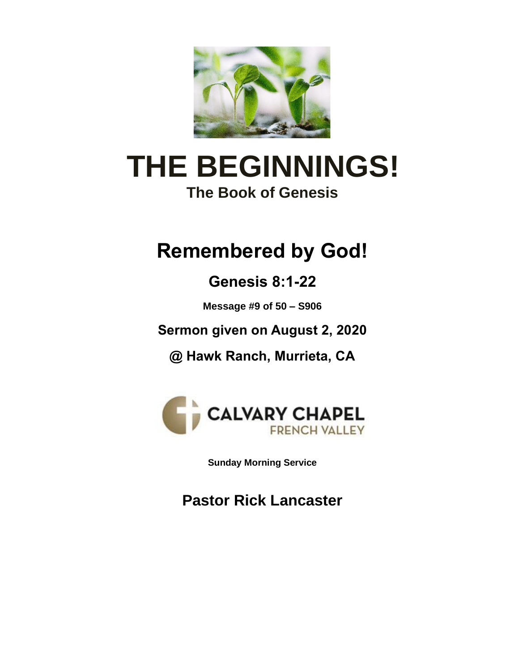

# **THE BEGINNINGS! The Book of Genesis**

## **Remembered by God!**

**Genesis 8:1-22**

**Message #9 of 50 – S906**

**Sermon given on August 2, 2020**

**@ Hawk Ranch, Murrieta, CA**



**Sunday Morning Service**

**Pastor Rick Lancaster**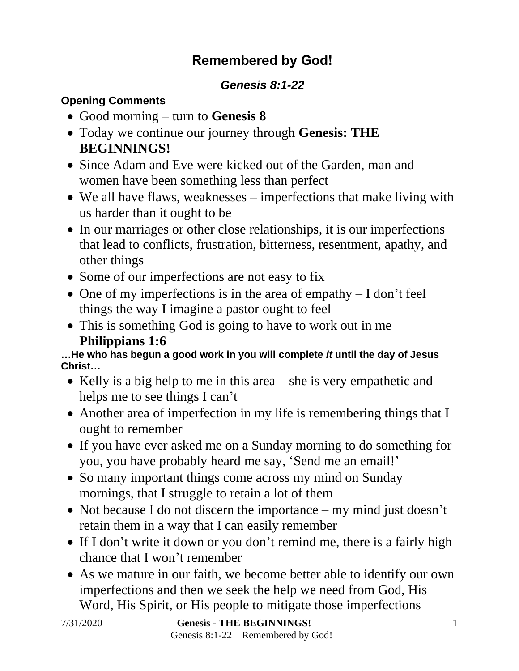## **Remembered by God!**

#### *Genesis 8:1-22*

#### **Opening Comments**

- Good morning turn to **Genesis 8**
- Today we continue our journey through **Genesis: THE BEGINNINGS!**
- Since Adam and Eve were kicked out of the Garden, man and women have been something less than perfect
- We all have flaws, weaknesses imperfections that make living with us harder than it ought to be
- In our marriages or other close relationships, it is our imperfections that lead to conflicts, frustration, bitterness, resentment, apathy, and other things
- Some of our imperfections are not easy to fix
- One of my imperfections is in the area of empathy  $-I$  don't feel things the way I imagine a pastor ought to feel
- This is something God is going to have to work out in me **Philippians 1:6**

**…He who has begun a good work in you will complete** *it* **until the day of Jesus Christ…**

- Kelly is a big help to me in this area she is very empathetic and helps me to see things I can't
- Another area of imperfection in my life is remembering things that I ought to remember
- If you have ever asked me on a Sunday morning to do something for you, you have probably heard me say, 'Send me an email!'
- So many important things come across my mind on Sunday mornings, that I struggle to retain a lot of them
- Not because I do not discern the importance my mind just doesn't retain them in a way that I can easily remember
- If I don't write it down or you don't remind me, there is a fairly high chance that I won't remember
- As we mature in our faith, we become better able to identify our own imperfections and then we seek the help we need from God, His Word, His Spirit, or His people to mitigate those imperfections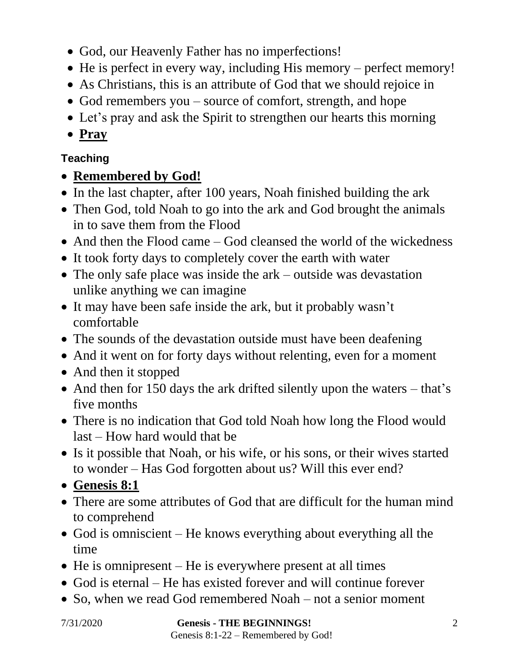- God, our Heavenly Father has no imperfections!
- He is perfect in every way, including His memory perfect memory!
- As Christians, this is an attribute of God that we should rejoice in
- God remembers you source of comfort, strength, and hope
- Let's pray and ask the Spirit to strengthen our hearts this morning
- **Pray**

#### **Teaching**

## • **Remembered by God!**

- In the last chapter, after 100 years, Noah finished building the ark
- Then God, told Noah to go into the ark and God brought the animals in to save them from the Flood
- And then the Flood came God cleansed the world of the wickedness
- It took forty days to completely cover the earth with water
- The only safe place was inside the ark outside was devastation unlike anything we can imagine
- It may have been safe inside the ark, but it probably wasn't comfortable
- The sounds of the devastation outside must have been deafening
- And it went on for forty days without relenting, even for a moment
- And then it stopped
- And then for 150 days the ark drifted silently upon the waters that's five months
- There is no indication that God told Noah how long the Flood would last – How hard would that be
- Is it possible that Noah, or his wife, or his sons, or their wives started to wonder – Has God forgotten about us? Will this ever end?
- **Genesis 8:1**
- There are some attributes of God that are difficult for the human mind to comprehend
- God is omniscient He knows everything about everything all the time
- He is omnipresent He is everywhere present at all times
- God is eternal He has existed forever and will continue forever
- So, when we read God remembered Noah not a senior moment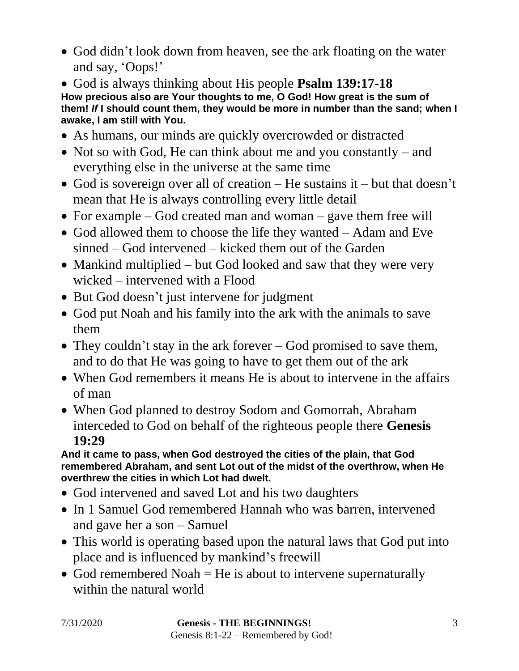- God didn't look down from heaven, see the ark floating on the water and say, 'Oops!'
- God is always thinking about His people **Psalm 139:17-18 How precious also are Your thoughts to me, O God! How great is the sum of them!** *If* **I should count them, they would be more in number than the sand; when I awake, I am still with You.**
- As humans, our minds are quickly overcrowded or distracted
- Not so with God, He can think about me and you constantly and everything else in the universe at the same time
- God is sovereign over all of creation He sustains it but that doesn't mean that He is always controlling every little detail
- For example God created man and woman gave them free will
- God allowed them to choose the life they wanted Adam and Eve sinned – God intervened – kicked them out of the Garden
- Mankind multiplied but God looked and saw that they were very wicked – intervened with a Flood
- But God doesn't just intervene for judgment
- God put Noah and his family into the ark with the animals to save them
- They couldn't stay in the ark forever God promised to save them, and to do that He was going to have to get them out of the ark
- When God remembers it means He is about to intervene in the affairs of man
- When God planned to destroy Sodom and Gomorrah, Abraham interceded to God on behalf of the righteous people there **Genesis 19:29**

**And it came to pass, when God destroyed the cities of the plain, that God remembered Abraham, and sent Lot out of the midst of the overthrow, when He overthrew the cities in which Lot had dwelt.**

- God intervened and saved Lot and his two daughters
- In 1 Samuel God remembered Hannah who was barren, intervened and gave her a son – Samuel
- This world is operating based upon the natural laws that God put into place and is influenced by mankind's freewill
- God remembered Noah  $=$  He is about to intervene supernaturally within the natural world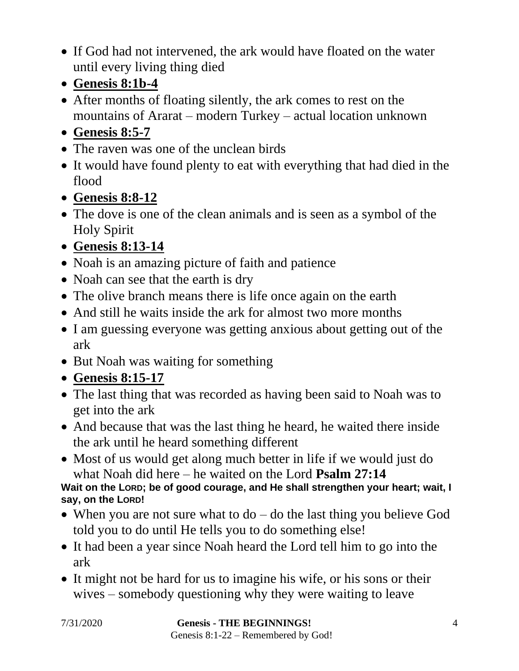- If God had not intervened, the ark would have floated on the water until every living thing died
- **Genesis 8:1b-4**
- After months of floating silently, the ark comes to rest on the mountains of Ararat – modern Turkey – actual location unknown
- **Genesis 8:5-7**
- The raven was one of the unclean birds
- It would have found plenty to eat with everything that had died in the flood
- **Genesis 8:8-12**
- The dove is one of the clean animals and is seen as a symbol of the Holy Spirit
- **Genesis 8:13-14**
- Noah is an amazing picture of faith and patience
- Noah can see that the earth is dry
- The olive branch means there is life once again on the earth
- And still he waits inside the ark for almost two more months
- I am guessing everyone was getting anxious about getting out of the ark
- But Noah was waiting for something

## • **Genesis 8:15-17**

- The last thing that was recorded as having been said to Noah was to get into the ark
- And because that was the last thing he heard, he waited there inside the ark until he heard something different
- Most of us would get along much better in life if we would just do what Noah did here – he waited on the Lord **Psalm 27:14**

**Wait on the LORD; be of good courage, and He shall strengthen your heart; wait, I say, on the LORD!**

- When you are not sure what to  $d\sigma$  do the last thing you believe God told you to do until He tells you to do something else!
- It had been a year since Noah heard the Lord tell him to go into the ark
- It might not be hard for us to imagine his wife, or his sons or their wives – somebody questioning why they were waiting to leave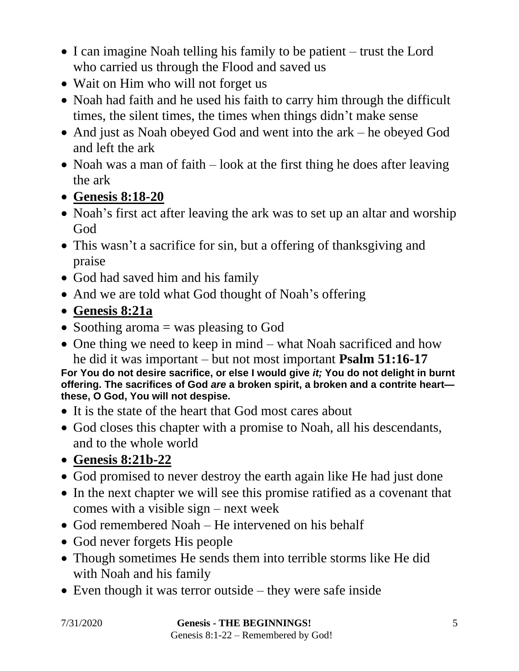- I can imagine Noah telling his family to be patient trust the Lord who carried us through the Flood and saved us
- Wait on Him who will not forget us
- Noah had faith and he used his faith to carry him through the difficult times, the silent times, the times when things didn't make sense
- And just as Noah obeyed God and went into the ark he obeyed God and left the ark
- Noah was a man of faith look at the first thing he does after leaving the ark
- **Genesis 8:18-20**
- Noah's first act after leaving the ark was to set up an altar and worship God
- This wasn't a sacrifice for sin, but a offering of thanksgiving and praise
- God had saved him and his family
- And we are told what God thought of Noah's offering
- **Genesis 8:21a**
- Soothing aroma = was pleasing to God
- One thing we need to keep in mind what Noah sacrificed and how he did it was important – but not most important **Psalm 51:16-17**

**For You do not desire sacrifice, or else I would give** *it;* **You do not delight in burnt offering. The sacrifices of God** *are* **a broken spirit, a broken and a contrite heart these, O God, You will not despise.**

- It is the state of the heart that God most cares about
- God closes this chapter with a promise to Noah, all his descendants, and to the whole world
- **Genesis 8:21b-22**
- God promised to never destroy the earth again like He had just done
- In the next chapter we will see this promise ratified as a covenant that comes with a visible sign – next week
- God remembered Noah He intervened on his behalf
- God never forgets His people
- Though sometimes He sends them into terrible storms like He did with Noah and his family
- Even though it was terror outside they were safe inside